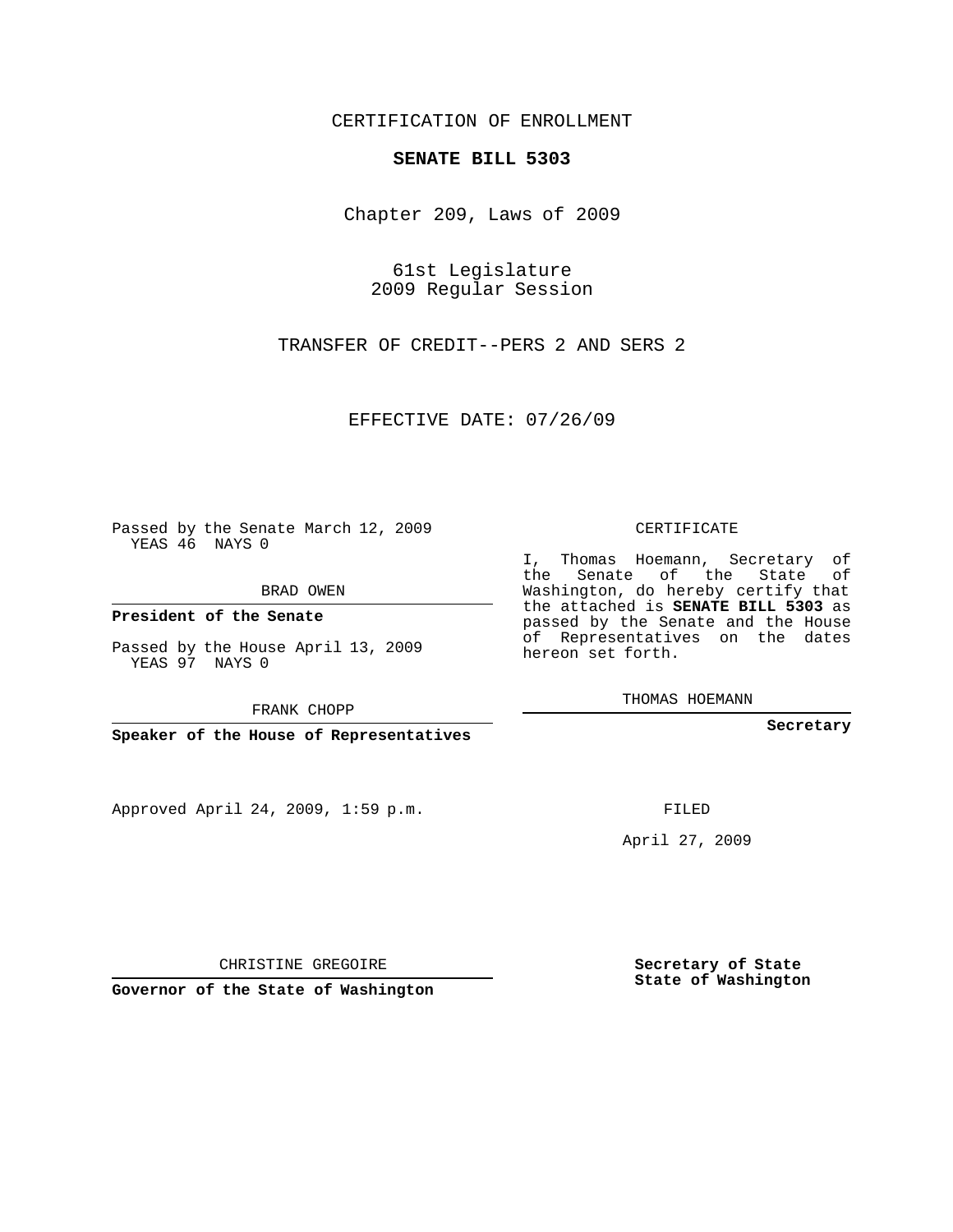## CERTIFICATION OF ENROLLMENT

## **SENATE BILL 5303**

Chapter 209, Laws of 2009

61st Legislature 2009 Regular Session

TRANSFER OF CREDIT--PERS 2 AND SERS 2

EFFECTIVE DATE: 07/26/09

Passed by the Senate March 12, 2009 YEAS 46 NAYS 0

BRAD OWEN

**President of the Senate**

Passed by the House April 13, 2009 YEAS 97 NAYS 0

FRANK CHOPP

**Speaker of the House of Representatives**

Approved April 24, 2009, 1:59 p.m.

CERTIFICATE

I, Thomas Hoemann, Secretary of the Senate of the State of Washington, do hereby certify that the attached is **SENATE BILL 5303** as passed by the Senate and the House of Representatives on the dates hereon set forth.

THOMAS HOEMANN

**Secretary**

FILED

April 27, 2009

CHRISTINE GREGOIRE

**Governor of the State of Washington**

**Secretary of State State of Washington**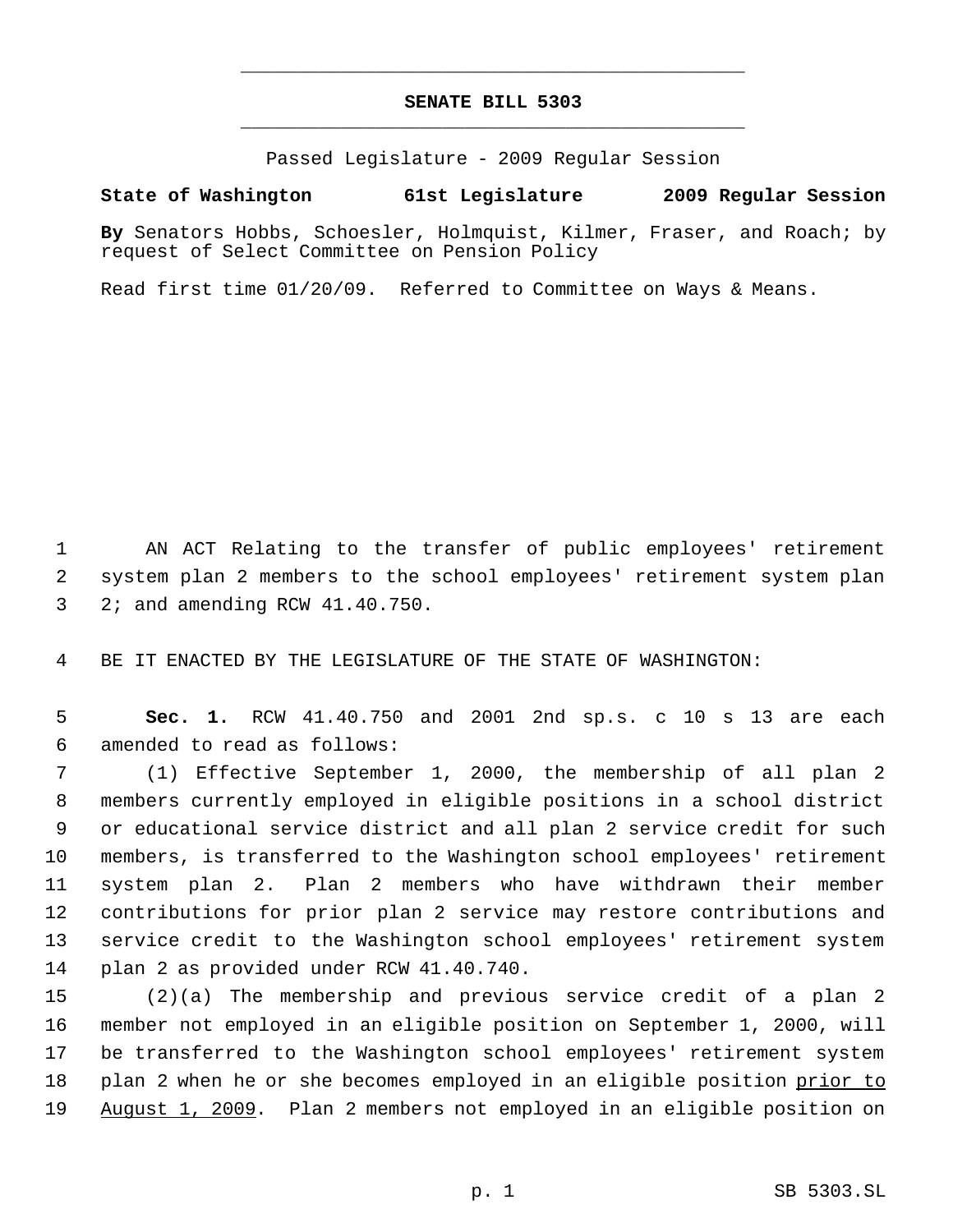## **SENATE BILL 5303** \_\_\_\_\_\_\_\_\_\_\_\_\_\_\_\_\_\_\_\_\_\_\_\_\_\_\_\_\_\_\_\_\_\_\_\_\_\_\_\_\_\_\_\_\_

\_\_\_\_\_\_\_\_\_\_\_\_\_\_\_\_\_\_\_\_\_\_\_\_\_\_\_\_\_\_\_\_\_\_\_\_\_\_\_\_\_\_\_\_\_

Passed Legislature - 2009 Regular Session

## **State of Washington 61st Legislature 2009 Regular Session**

**By** Senators Hobbs, Schoesler, Holmquist, Kilmer, Fraser, and Roach; by request of Select Committee on Pension Policy

Read first time 01/20/09. Referred to Committee on Ways & Means.

 AN ACT Relating to the transfer of public employees' retirement system plan 2 members to the school employees' retirement system plan 2; and amending RCW 41.40.750.

BE IT ENACTED BY THE LEGISLATURE OF THE STATE OF WASHINGTON:

 **Sec. 1.** RCW 41.40.750 and 2001 2nd sp.s. c 10 s 13 are each amended to read as follows:

 (1) Effective September 1, 2000, the membership of all plan 2 members currently employed in eligible positions in a school district or educational service district and all plan 2 service credit for such members, is transferred to the Washington school employees' retirement system plan 2. Plan 2 members who have withdrawn their member contributions for prior plan 2 service may restore contributions and service credit to the Washington school employees' retirement system plan 2 as provided under RCW 41.40.740.

 (2)(a) The membership and previous service credit of a plan 2 member not employed in an eligible position on September 1, 2000, will be transferred to the Washington school employees' retirement system 18 plan 2 when he or she becomes employed in an eligible position prior to August 1, 2009. Plan 2 members not employed in an eligible position on